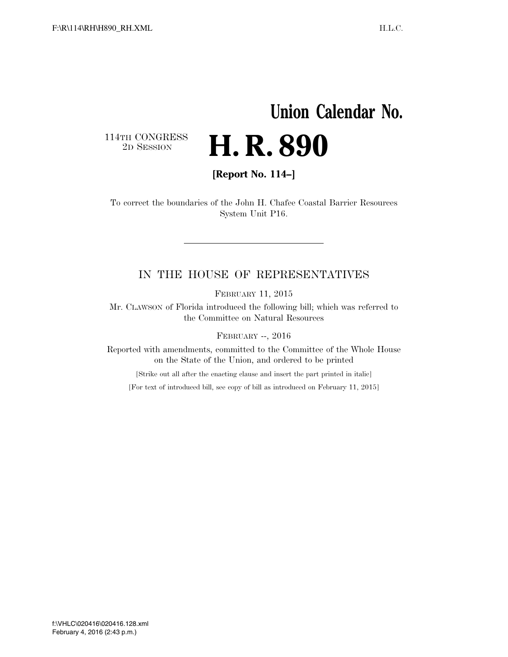## **Union Calendar No.**  114TH CONGRESS<br>2D SESSION 2D SESSION **H. R. 890**

**[Report No. 114–]** 

To correct the boundaries of the John H. Chafee Coastal Barrier Resources System Unit P16.

## IN THE HOUSE OF REPRESENTATIVES

FEBRUARY 11, 2015

Mr. CLAWSON of Florida introduced the following bill; which was referred to the Committee on Natural Resources

FEBRUARY --, 2016

Reported with amendments, committed to the Committee of the Whole House on the State of the Union, and ordered to be printed

[Strike out all after the enacting clause and insert the part printed in italic]

[For text of introduced bill, see copy of bill as introduced on February 11, 2015]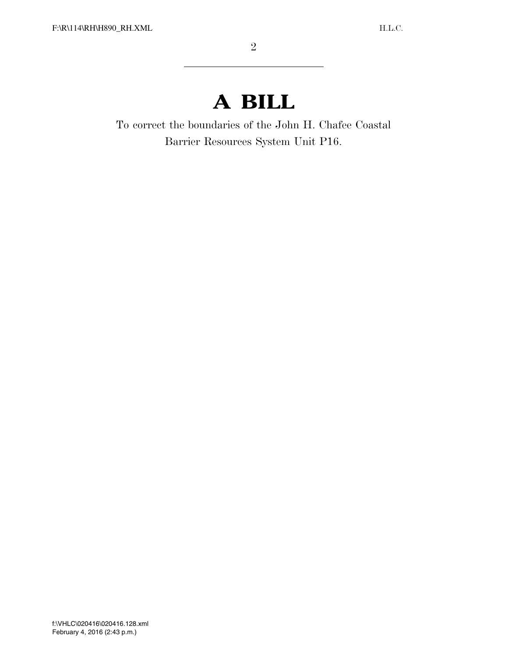## **A BILL**

To correct the boundaries of the John H. Chafee Coastal Barrier Resources System Unit P16.